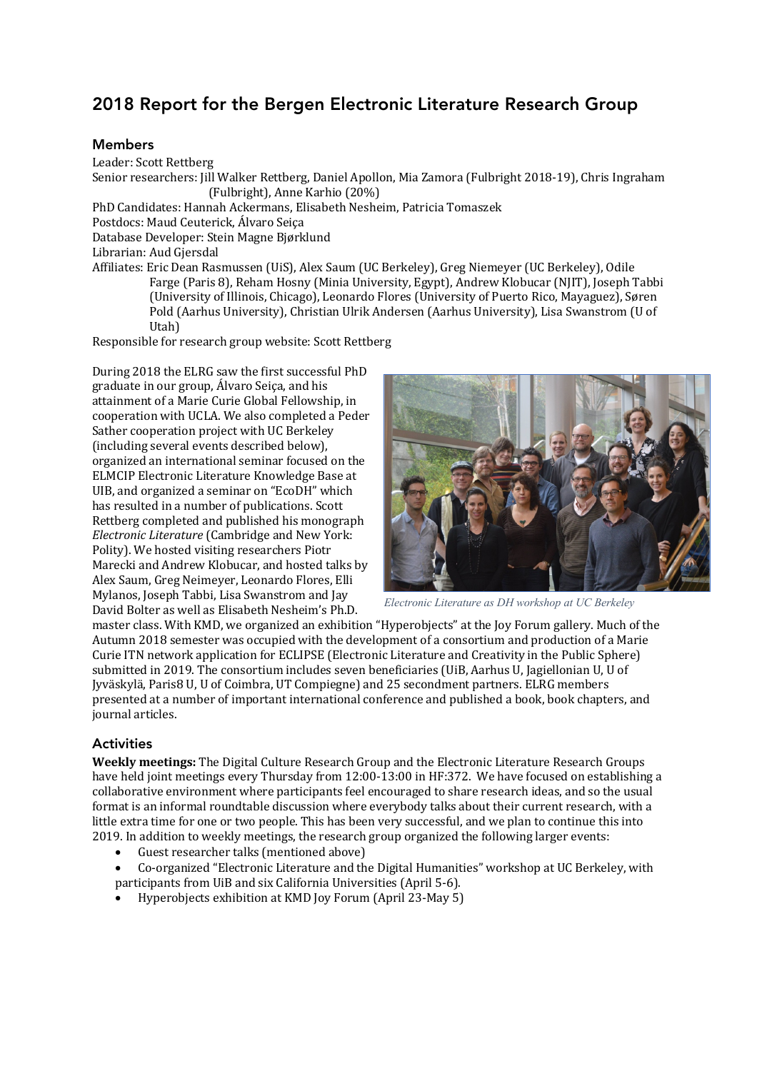# 2018 Report for the Bergen Electronic Literature Research Group

## Members

Leader: Scott Rettberg Senior researchers: Jill Walker Rettberg, Daniel Apollon, Mia Zamora (Fulbright 2018-19), Chris Ingraham (Fulbright), Anne Karhio (20%) PhD Candidates: Hannah Ackermans, Elisabeth Nesheim, Patricia Tomaszek Postdocs: Maud Ceuterick, Álvaro Seiça Database Developer: Stein Magne Bjørklund Librarian: Aud Gjersdal Affiliates: Eric Dean Rasmussen (UiS), Alex Saum (UC Berkeley), Greg Niemeyer (UC Berkeley), Odile Farge (Paris 8), Reham Hosny (Minia University, Egypt), Andrew Klobucar (NIIT), Joseph Tabbi (University of Illinois, Chicago), Leonardo Flores (University of Puerto Rico, Mayaguez), Søren Pold (Aarhus University), Christian Ulrik Andersen (Aarhus University), Lisa Swanstrom (U of

Utah)

Responsible for research group website: Scott Rettberg

During 2018 the ELRG saw the first successful PhD graduate in our group, Álvaro Seica, and his attainment of a Marie Curie Global Fellowship, in cooperation with UCLA. We also completed a Peder Sather cooperation project with UC Berkeley (including several events described below). organized an international seminar focused on the ELMCIP Electronic Literature Knowledge Base at UIB, and organized a seminar on "EcoDH" which has resulted in a number of publications. Scott Rettberg completed and published his monograph *Electronic Literature* (Cambridge and New York: Polity). We hosted visiting researchers Piotr Marecki and Andrew Klobucar, and hosted talks by Alex Saum, Greg Neimeyer, Leonardo Flores, Elli Mylanos, Joseph Tabbi, Lisa Swanstrom and Jay David Bolter as well as Elisabeth Nesheim's Ph.D.



*Electronic Literature as DH workshop at UC Berkeley*

master class. With KMD, we organized an exhibition "Hyperobjects" at the Joy Forum gallery. Much of the Autumn 2018 semester was occupied with the development of a consortium and production of a Marie Curie ITN network application for ECLIPSE (Electronic Literature and Creativity in the Public Sphere) submitted in 2019. The consortium includes seven beneficiaries (UiB, Aarhus U, Jagiellonian U, U of Jyväskylä, Paris8 U, U of Coimbra, UT Compiegne) and 25 secondment partners. ELRG members presented at a number of important international conference and published a book, book chapters, and journal articles.

#### **Activities**

**Weekly meetings:** The Digital Culture Research Group and the Electronic Literature Research Groups have held joint meetings every Thursday from 12:00-13:00 in HF:372. We have focused on establishing a collaborative environment where participants feel encouraged to share research ideas, and so the usual format is an informal roundtable discussion where everybody talks about their current research, with a little extra time for one or two people. This has been very successful, and we plan to continue this into 2019. In addition to weekly meetings, the research group organized the following larger events:

- Guest researcher talks (mentioned above)
- Co-organized "Electronic Literature and the Digital Humanities" workshop at UC Berkeley, with participants from UiB and six California Universities (April 5-6).
- Hyperobjects exhibition at KMD Joy Forum (April 23-May 5)